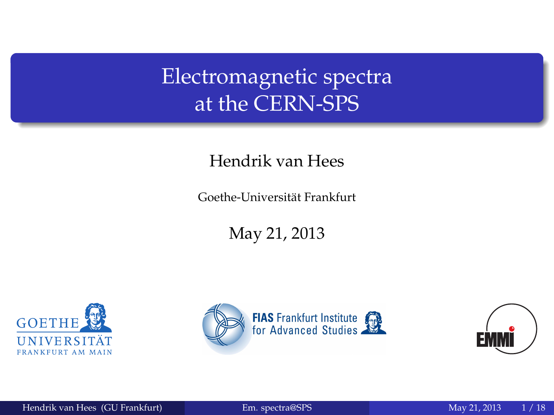Electromagnetic spectra at the CERN-SPS

#### Hendrik van Hees

Goethe-Universitat Frankfurt ¨

May 21, 2013





<span id="page-0-0"></span>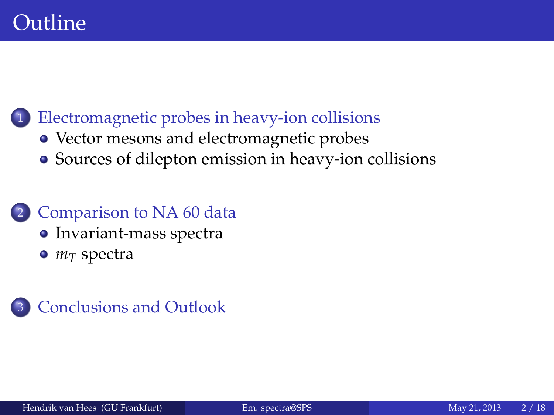#### [Electromagnetic probes in heavy-ion collisions](#page-2-0)

- [Vector mesons and electromagnetic probes](#page-3-0)
- [Sources of dilepton emission in heavy-ion collisions](#page-4-0)

#### 2 [Comparison to NA 60 data](#page-12-0)

- [Invariant-mass spectra](#page-14-0)
- *m<sup>T</sup>* [spectra](#page-29-0)

#### **[Conclusions and Outlook](#page-30-0)**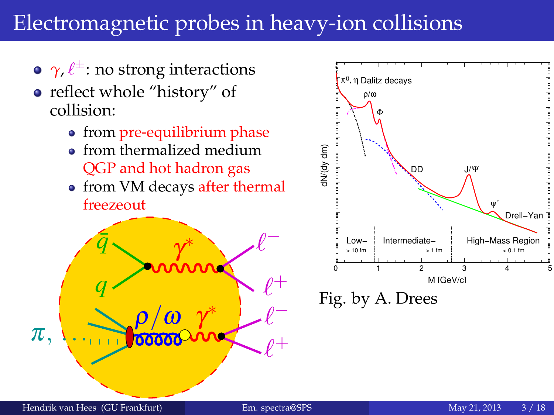#### Electromagnetic probes in heavy-ion collisions

- $\gamma$ ,  $\ell^{\pm}$ : no strong interactions
- reflect whole "history" of collision:
	- from pre-equilibrium phase
	- **•** from thermalized medium QGP and hot hadron gas
	- from VM decays after thermal freezeout





<span id="page-2-0"></span>Fig. by A. Drees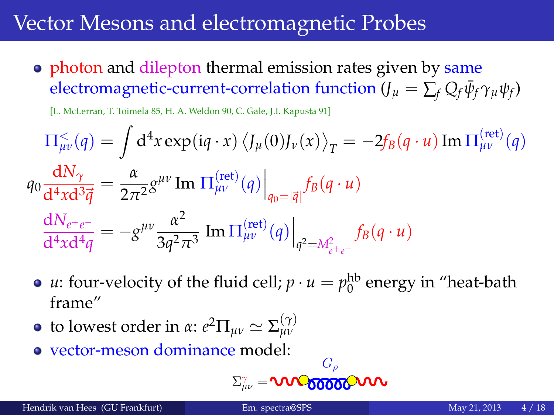#### Vector Mesons and electromagnetic Probes

• photon and dilepton thermal emission rates given by same  $\epsilon$ electromagnetic-current-correlation function (*J*<sub>*µ*</sub> =  $\sum_f Q_f \bar{\psi}_f \gamma_\mu \psi_f$ )

[L. McLerran, T. Toimela 85, H. A. Weldon 90, C. Gale, J.I. Kapusta 91]

$$
\Pi_{\mu\nu}^{\leq}(q) = \int d^4x \exp(iq \cdot x) \langle J_{\mu}(0)J_{\nu}(x) \rangle_T = -2f_B(q \cdot u) \operatorname{Im} \Pi_{\mu\nu}^{\text{(ret)}}(q)
$$
  
\n
$$
q_0 \frac{dN_{\gamma}}{d^4x d^3 \vec{q}} = \frac{\alpha}{2\pi^2} g^{\mu\nu} \operatorname{Im} \Pi_{\mu\nu}^{\text{(ret)}}(q) \Big|_{q_0 = |\vec{q}|} f_B(q \cdot u)
$$
  
\n
$$
\frac{dN_{e^+e^-}}{d^4x d^4 q} = -g^{\mu\nu} \frac{\alpha^2}{3q^2 \pi^3} \operatorname{Im} \Pi_{\mu\nu}^{\text{(ret)}}(q) \Big|_{q^2 = M_{e^+e^-}^2} f_B(q \cdot u)
$$

- *u*: four-velocity of the fluid cell;  $p \cdot u = p_0^{\text{hb}}$  energy in "heat-bath frame"
- **t**o lowest order in *α*:  $e^2 \Pi_{\mu\nu} \simeq \Sigma_{\mu\nu}^{(\gamma)}$
- vector-meson dominance model:

$$
\Sigma^{\gamma}_{\mu\nu}=\text{VNC}_{\text{00000}}\text{V}\text{V}\text{V}
$$

<span id="page-3-0"></span> $\overline{C}$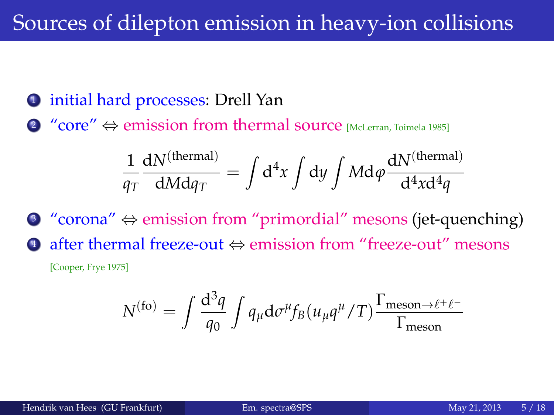#### Sources of dilepton emission in heavy-ion collisions

- <sup>1</sup> initial hard processes: Drell Yan
- 2 "core"  $\Leftrightarrow$  emission from thermal source [McLerran, Toimela 1985]

$$
\frac{1}{q_T}\frac{dN^{(thermal)}}{dMdq_T} = \int d^4x \int dy \int Md\phi \frac{dN^{(thermal)}}{d^4x d^4q}
$$

<sup>3</sup> "corona" ⇔ emission from "primordial" mesons (jet-quenching) <sup>4</sup> after thermal freeze-out ⇔ emission from "freeze-out" mesons [Cooper, Frye 1975]

<span id="page-4-0"></span>
$$
N^{(\rm fo)} = \int \frac{\mathrm{d}^3 q}{q_0} \int q_\mu \mathrm{d}\sigma^\mu f_B(u_\mu q^\mu/T) \frac{\Gamma_{\rm meson \to \ell^+ \ell^-}}{\Gamma_{\rm meson}}
$$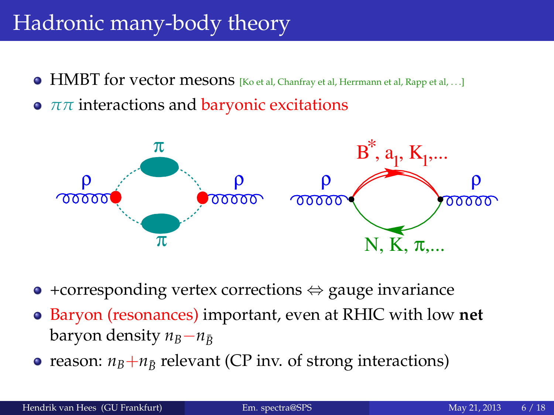#### Hadronic many-body theory

- **HMBT for vector mesons** [Ko et al, Chanfray et al, Herrmann et al, Rapp et al, ...]
- **•**  $ππ$  interactions and baryonic excitations



- $\bullet$  +corresponding vertex corrections  $\Leftrightarrow$  gauge invariance
- Baryon (resonances) important, even at RHIC with low **net baryon density**  $n<sub>B</sub>−n<sub>B</sub>$
- reason:  $n_B + n_{\bar{B}}$  relevant (CP inv. of strong interactions)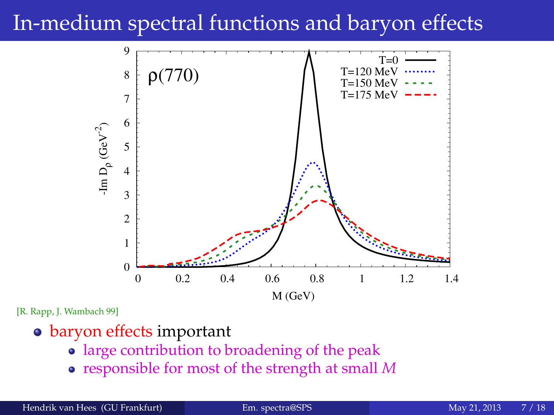#### In-medium spectral functions and baryon effects



[R. Rapp, J. Wambach 99]

- baryon effects important
	- large contribution to broadening of the peak
	- responsible for most of the strength at small *M*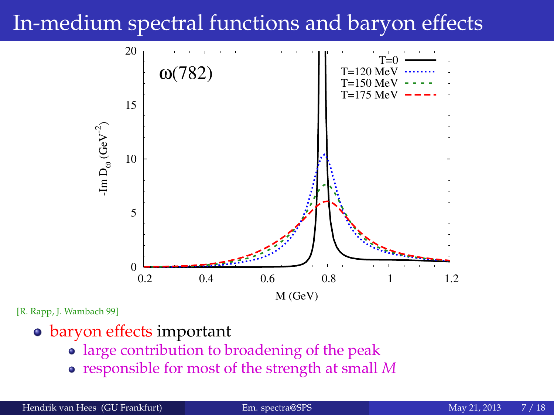#### In-medium spectral functions and baryon effects



[R. Rapp, J. Wambach 99]

- baryon effects important
	- large contribution to broadening of the peak
	- responsible for most of the strength at small *M*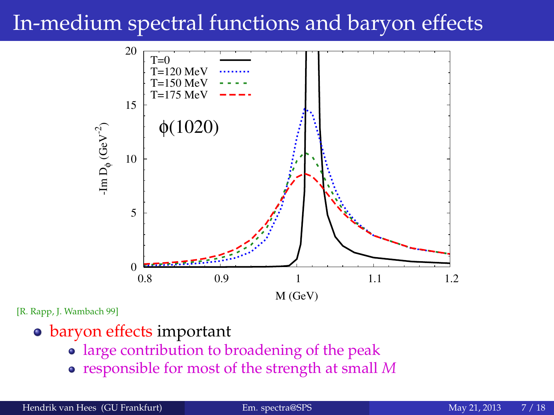#### In-medium spectral functions and baryon effects



[R. Rapp, J. Wambach 99]

- baryon effects important
	- large contribution to broadening of the peak
	- responsible for most of the strength at small *M*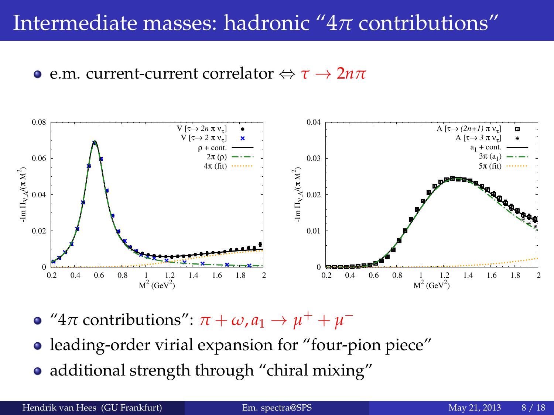#### Intermediate masses: hadronic "4*π* contributions"

#### **e** e.m. current-current correlator  $\Leftrightarrow \tau \rightarrow 2n\pi$



- " $4\pi$  contributions":  $\pi + \omega$ ,  $a_1 \rightarrow \mu^+ + \mu^-$
- leading-order virial expansion for "four-pion piece"
- additional strength through "chiral mixing"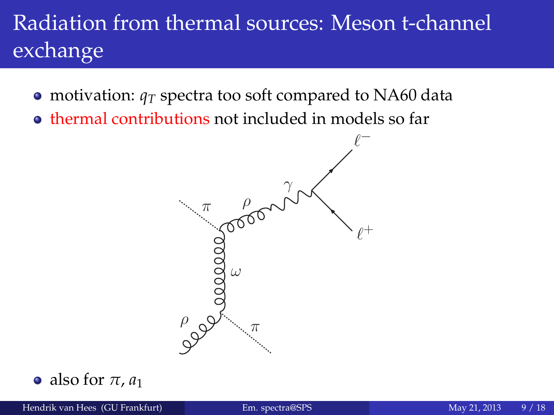# Radiation from thermal sources: Meson t-channel exchange

- motivation:  $q_T$  spectra too soft compared to NA60 data
- thermal contributions not included in models so far

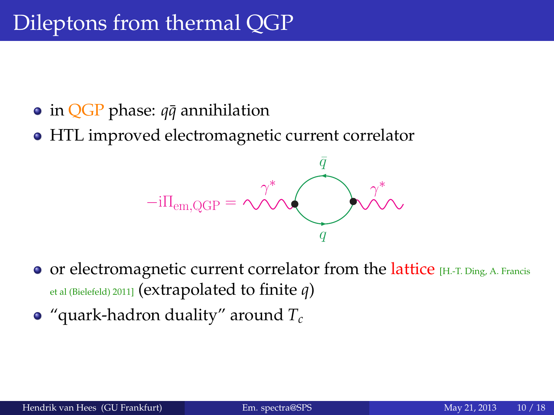- **•** in **QGP** phase: *q* $\bar{q}$  annihilation
- HTL improved electromagnetic current correlator



- $\bullet$  or electromagnetic current correlator from the lattice [H.-T. Ding, A. Francis et al (Bielefeld) 2011] (extrapolated to finite *q*)
- "quark-hadron duality" around *T<sup>c</sup>*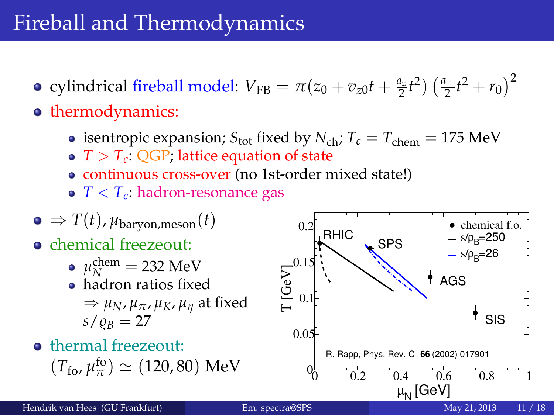### Fireball and Thermodynamics

- cylindrical fireball model:  $V_{\text{FB}} = \pi(z_0 + v_{z0}t + \frac{a_z}{2}t^2) \left(\frac{a_{\perp}}{2}t^2 + r_0\right)^2$
- **o** thermodynamics:
	- isentropic expansion;  $S_{\text{tot}}$  fixed by  $N_{\text{ch}}$ ;  $T_c = T_{\text{chem}} = 175 \text{ MeV}$
	- $T > T_c$ : QGP; lattice equation of state
	- continuous cross-over (no 1st-order mixed state!)
	- *T* < *Tc*: hadron-resonance gas

$$
\bullet \Rightarrow T(t), \mu_{\text{baryon,meson}}(t)
$$

- chemical freezeout:
	- $\mu_N^{\text{chem}} = 232 \text{ MeV}$
	- hadron ratios fixed  $\Rightarrow \mu_N$ ,  $\mu_\pi$ ,  $\mu_K$ ,  $\mu_\eta$  at fixed  $s/\rho_B = 27$
- **o** thermal freezeout:  $(T_{\text{fo}}, \mu_{\pi}^{\text{fo}}) \simeq (120, 80) \text{ MeV}$

<span id="page-12-0"></span>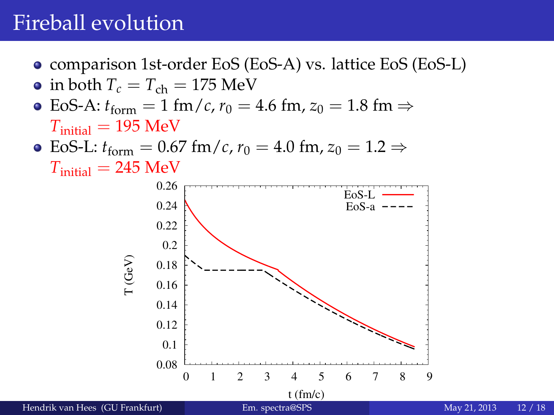#### Fireball evolution

- comparison 1st-order EoS (EoS-A) vs. lattice EoS (EoS-L)
- in both  $T_c = T_{ch} = 175$  MeV
- $\bullet$  EoS-A: *t*<sub>form</sub> = 1 fm/*c*, *r*<sub>0</sub> = 4.6 fm, *z*<sub>0</sub> = 1.8 fm ⇒  $T_{initial} = 195$  MeV
- EoS-L:  $t_{\text{form}} = 0.67 \text{ fm}/c$ ,  $r_0 = 4.0 \text{ fm}, z_0 = 1.2 \Rightarrow$  $T_{initial} = 245 \text{ MeV}$

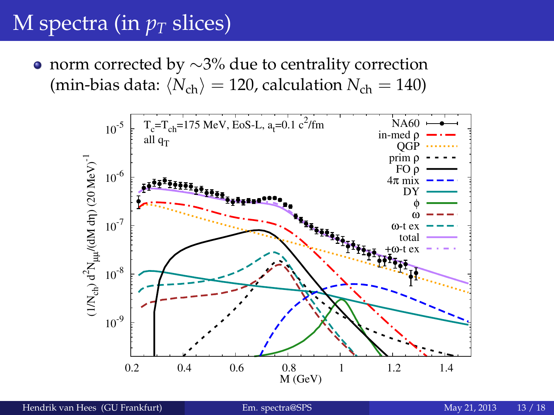<span id="page-14-0"></span>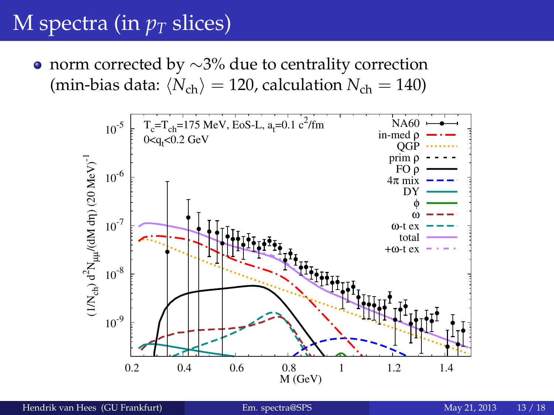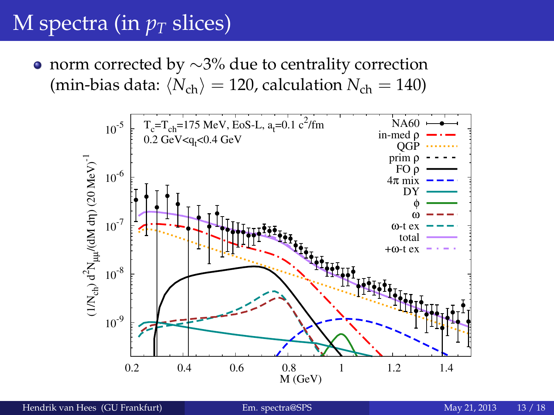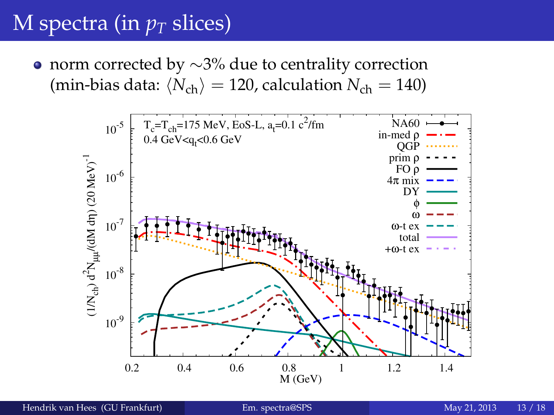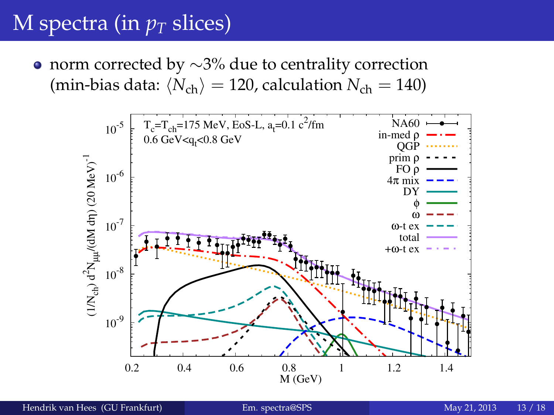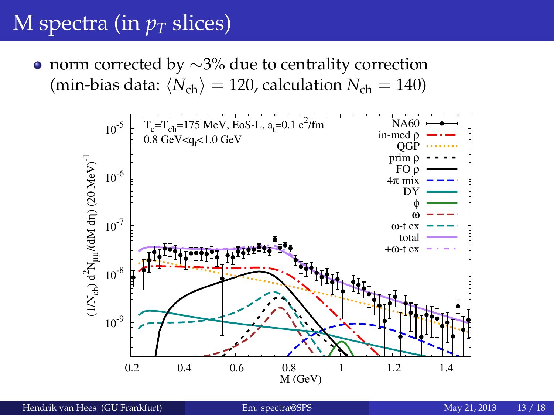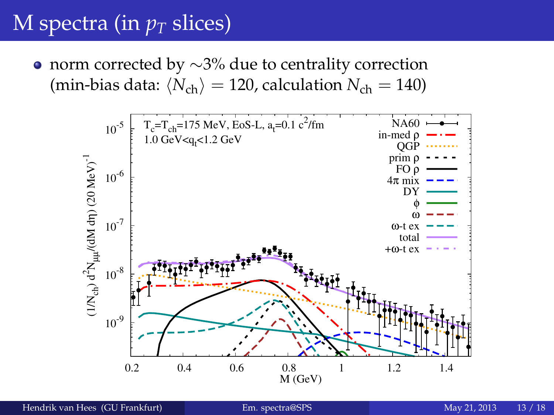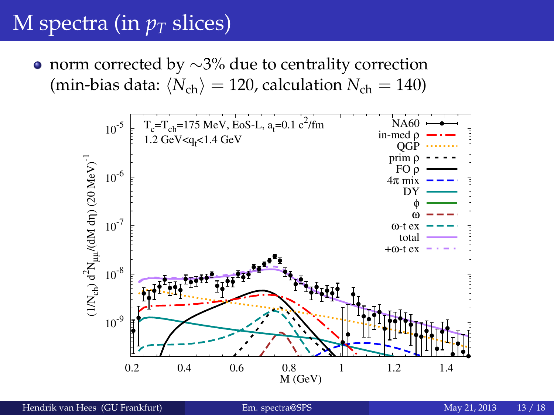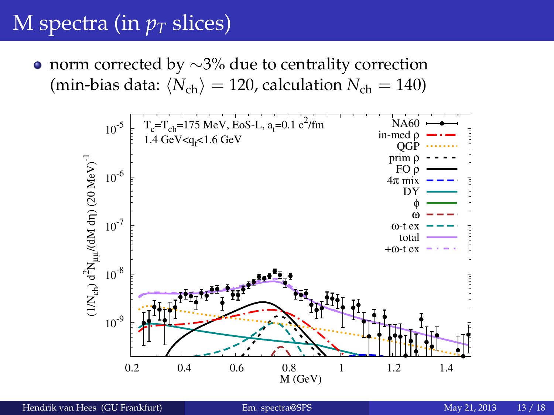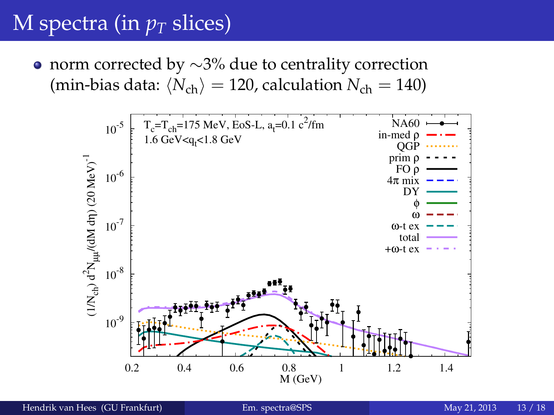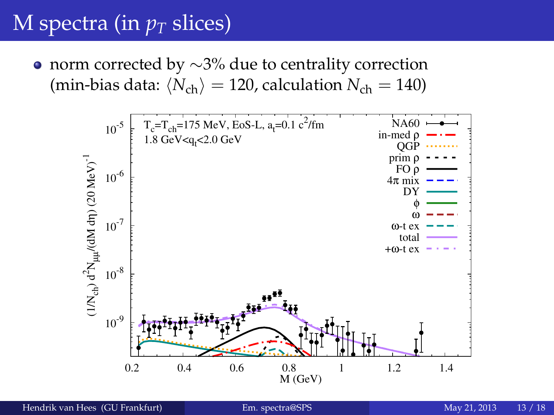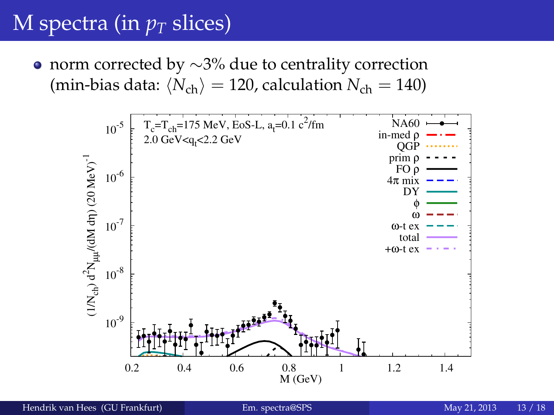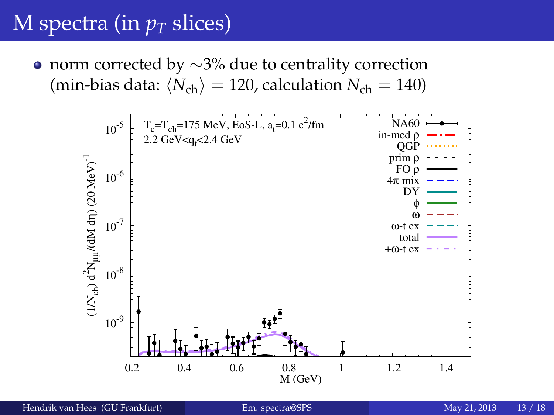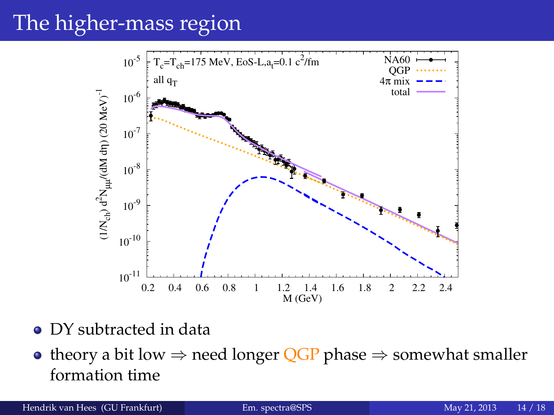# The higher-mass region



- DY subtracted in data
- theory a bit low  $\Rightarrow$  need longer QGP phase  $\Rightarrow$  somewhat smaller formation time

Hendrik van Hees (GU Frankfurt) [Em. spectra@SPS](#page-0-0) May 21, 2013 14 / 18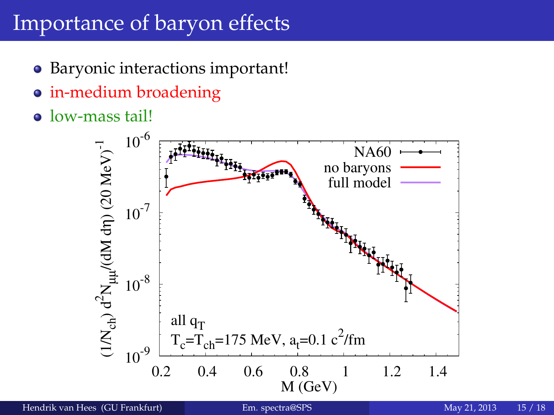## Importance of baryon effects

- Baryonic interactions important!
- in-medium broadening
- low-mass tail!

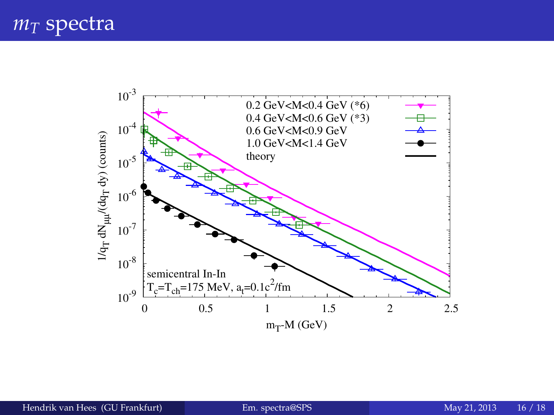#### *m<sup>T</sup>* spectra

<span id="page-29-0"></span>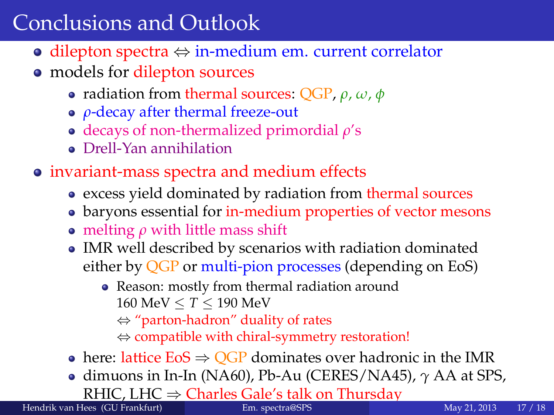#### Conclusions and Outlook

- dilepton spectra ⇔ in-medium em. current correlator
- models for dilepton sources
	- radiation from thermal sources: QGP, *ρ*, *ω*, *φ*
	- *ρ*-decay after thermal freeze-out
	- decays of non-thermalized primordial *ρ*'s
	- Drell-Yan annihilation
- invariant-mass spectra and medium effects
	- excess yield dominated by radiation from thermal sources
	- baryons essential for in-medium properties of vector mesons
	- melting  $\rho$  with little mass shift
	- IMR well described by scenarios with radiation dominated either by QGP or multi-pion processes (depending on EoS)
		- Reason: mostly from thermal radiation around 160 MeV ≤ *T* ≤ 190 MeV
			- ⇔ "parton-hadron" duality of rates
			- ⇔ compatible with chiral-symmetry restoration!
	- here: lattice  $EoS \Rightarrow QGP$  dominates over hadronic in the IMR
	- dimuons in In-In (NA60), Pb-Au (CERES/NA45), *γ* AA at SPS, RHIC, LHC  $⇒$  Charles Gale's talk on Thursday<br>lees (GU Frankfurt) Em. spectra@SPS

<span id="page-30-0"></span>